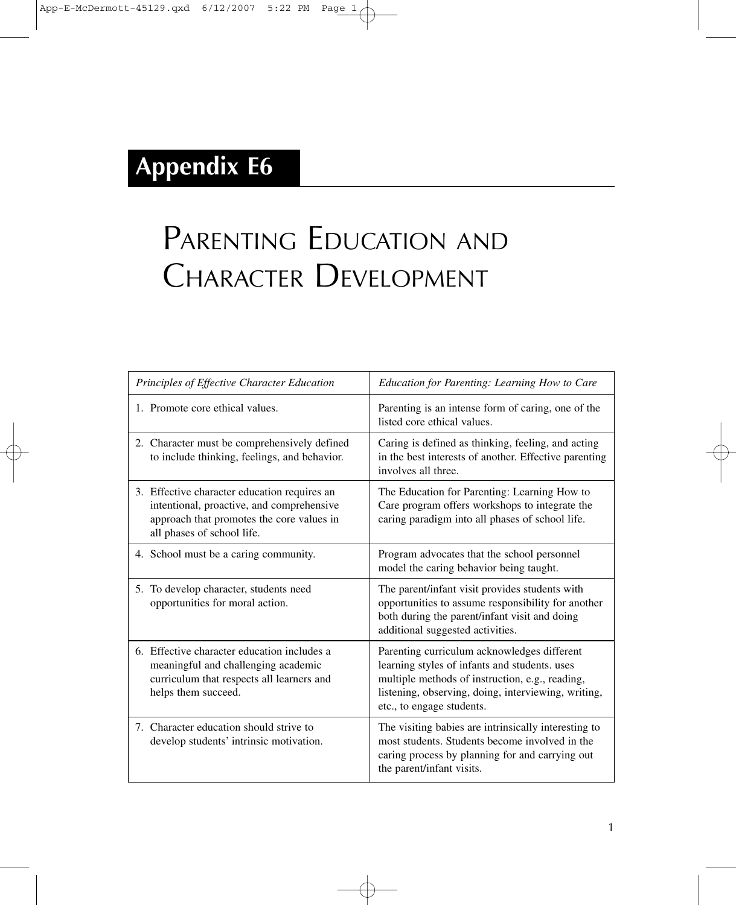## **Appendix E6**

## PARENTING EDUCATION AND CHARACTER DEVELOPMENT

| Principles of Effective Character Education                                                                                                                          | Education for Parenting: Learning How to Care                                                                                                                                                                                       |
|----------------------------------------------------------------------------------------------------------------------------------------------------------------------|-------------------------------------------------------------------------------------------------------------------------------------------------------------------------------------------------------------------------------------|
| 1. Promote core ethical values.                                                                                                                                      | Parenting is an intense form of caring, one of the<br>listed core ethical values.                                                                                                                                                   |
| 2. Character must be comprehensively defined<br>to include thinking, feelings, and behavior.                                                                         | Caring is defined as thinking, feeling, and acting<br>in the best interests of another. Effective parenting<br>involves all three.                                                                                                  |
| 3. Effective character education requires an<br>intentional, proactive, and comprehensive<br>approach that promotes the core values in<br>all phases of school life. | The Education for Parenting: Learning How to<br>Care program offers workshops to integrate the<br>caring paradigm into all phases of school life.                                                                                   |
| 4. School must be a caring community.                                                                                                                                | Program advocates that the school personnel<br>model the caring behavior being taught.                                                                                                                                              |
| 5. To develop character, students need<br>opportunities for moral action.                                                                                            | The parent/infant visit provides students with<br>opportunities to assume responsibility for another<br>both during the parent/infant visit and doing<br>additional suggested activities.                                           |
| 6. Effective character education includes a<br>meaningful and challenging academic<br>curriculum that respects all learners and<br>helps them succeed.               | Parenting curriculum acknowledges different<br>learning styles of infants and students. uses<br>multiple methods of instruction, e.g., reading,<br>listening, observing, doing, interviewing, writing,<br>etc., to engage students. |
| 7. Character education should strive to<br>develop students' intrinsic motivation.                                                                                   | The visiting babies are intrinsically interesting to<br>most students. Students become involved in the<br>caring process by planning for and carrying out<br>the parent/infant visits.                                              |